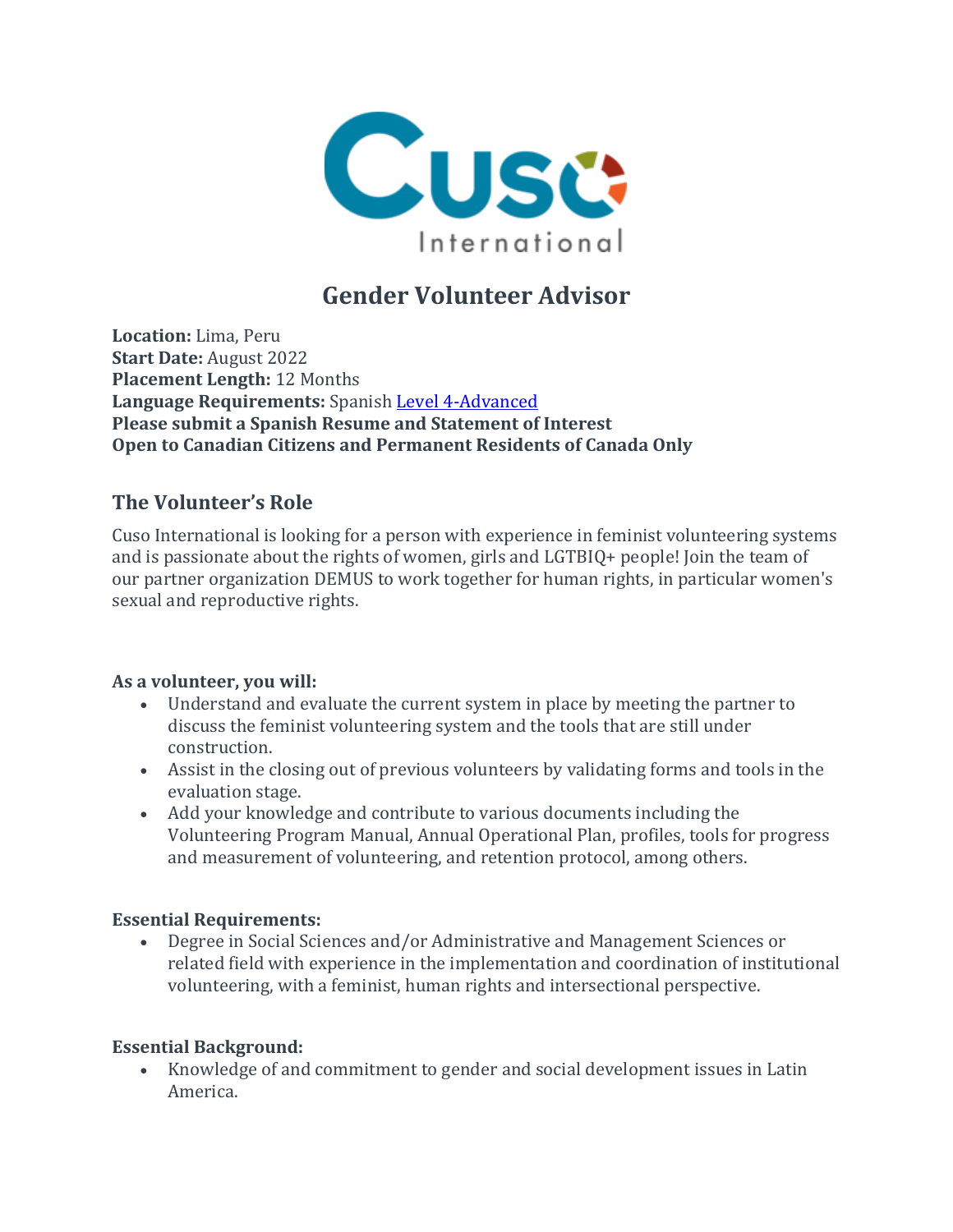

# **Gender Volunteer Advisor**

**Location:** Lima, Peru **Start Date:** August 2022 **Placement Length:** 12 Months **Language Requirements:** Spanish Level [4-Advanced](https://apply.cusointernational.org/language-requirements/) **Please submit a Spanish Resume and Statement of Interest Open to Canadian Citizens and Permanent Residents of Canada Only**

### **The Volunteer's Role**

Cuso International is looking for a person with experience in feminist volunteering systems and is passionate about the rights of women, girls and LGTBIQ+ people! Join the team of our partner organization DEMUS to work together for human rights, in particular women's sexual and reproductive rights.

#### **As a volunteer, you will:**

- Understand and evaluate the current system in place by meeting the partner to discuss the feminist volunteering system and the tools that are still under construction.
- Assist in the closing out of previous volunteers by validating forms and tools in the evaluation stage.
- Add your knowledge and contribute to various documents including the Volunteering Program Manual, Annual Operational Plan, profiles, tools for progress and measurement of volunteering, and retention protocol, among others.

#### **Essential Requirements:**

• Degree in Social Sciences and/or Administrative and Management Sciences or related field with experience in the implementation and coordination of institutional volunteering, with a feminist, human rights and intersectional perspective.

#### **Essential Background:**

• Knowledge of and commitment to gender and social development issues in Latin America.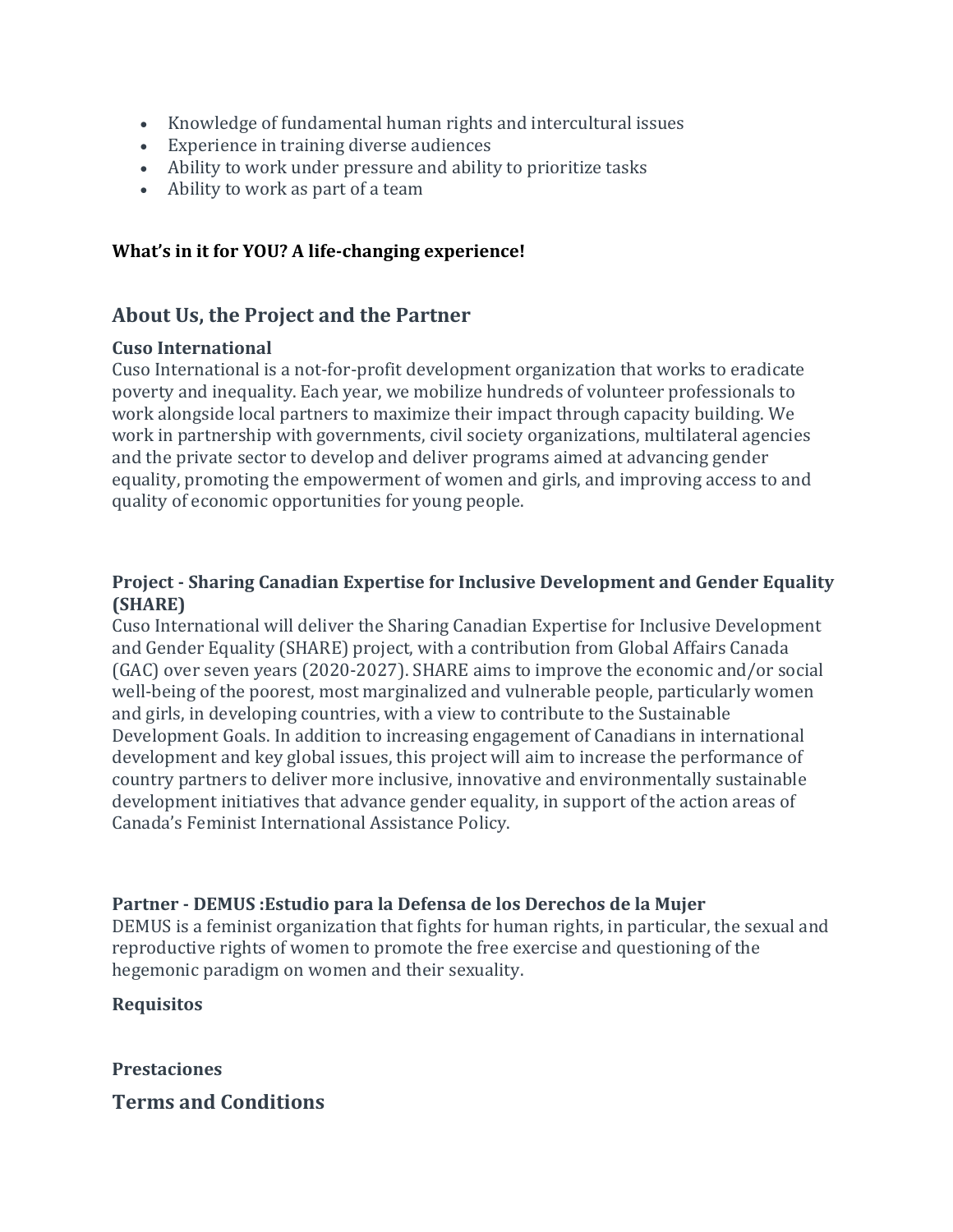- Knowledge of fundamental human rights and intercultural issues
- Experience in training diverse audiences
- Ability to work under pressure and ability to prioritize tasks
- Ability to work as part of a team

#### **What's in it for YOU? A life-changing experience!**

#### **About Us, the Project and the Partner**

#### **Cuso International**

Cuso International is a not-for-profit development organization that works to eradicate poverty and inequality. Each year, we mobilize hundreds of volunteer professionals to work alongside local partners to maximize their impact through capacity building. We work in partnership with governments, civil society organizations, multilateral agencies and the private sector to develop and deliver programs aimed at advancing gender equality, promoting the empowerment of women and girls, and improving access to and quality of economic opportunities for young people.

#### **Project - Sharing Canadian Expertise for Inclusive Development and Gender Equality (SHARE)**

Cuso International will deliver the Sharing Canadian Expertise for Inclusive Development and Gender Equality (SHARE) project, with a contribution from Global Affairs Canada (GAC) over seven years (2020-2027). SHARE aims to improve the economic and/or social well-being of the poorest, most marginalized and vulnerable people, particularly women and girls, in developing countries, with a view to contribute to the Sustainable Development Goals. In addition to increasing engagement of Canadians in international development and key global issues, this project will aim to increase the performance of country partners to deliver more inclusive, innovative and environmentally sustainable development initiatives that advance gender equality, in support of the action areas of Canada's Feminist International Assistance Policy.

#### **Partner - DEMUS :Estudio para la Defensa de los Derechos de la Mujer**

DEMUS is a feminist organization that fights for human rights, in particular, the sexual and reproductive rights of women to promote the free exercise and questioning of the hegemonic paradigm on women and their sexuality.

#### **Requisitos**

## **Prestaciones Terms and Conditions**